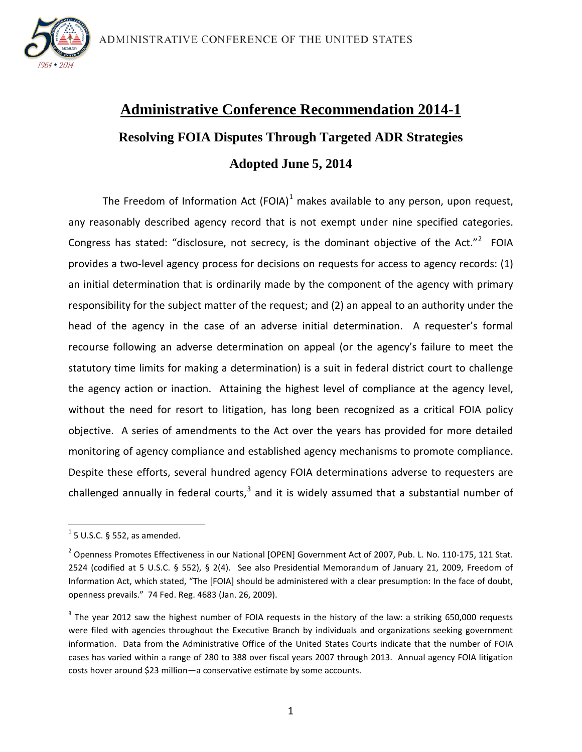

# **Administrative Conference Recommendation 2014-1 Resolving FOIA Disputes Through Targeted ADR Strategies Adopted June 5, 2014**

The Freedom of Information Act (FOIA) $<sup>1</sup>$  $<sup>1</sup>$  $<sup>1</sup>$  makes available to any person, upon request,</sup> any reasonably described agency record that is not exempt under nine specified categories. Congress has stated: "disclosure, not secrecy, is the dominant objective of the Act."<sup>[2](#page-0-1)</sup> FOIA provides a two-level agency process for decisions on requests for access to agency records: (1) an initial determination that is ordinarily made by the component of the agency with primary responsibility for the subject matter of the request; and (2) an appeal to an authority under the head of the agency in the case of an adverse initial determination. A requester's formal recourse following an adverse determination on appeal (or the agency's failure to meet the statutory time limits for making a determination) is a suit in federal district court to challenge the agency action or inaction. Attaining the highest level of compliance at the agency level, without the need for resort to litigation, has long been recognized as a critical FOIA policy objective. A series of amendments to the Act over the years has provided for more detailed monitoring of agency compliance and established agency mechanisms to promote compliance. Despite these efforts, several hundred agency FOIA determinations adverse to requesters are challenged annually in federal courts, $3$  and it is widely assumed that a substantial number of

<span id="page-0-0"></span> $<sup>1</sup>$  5 U.S.C. § 552, as amended.</sup>

<span id="page-0-1"></span><sup>&</sup>lt;sup>2</sup> Openness Promotes Effectiveness in our National [OPEN] Government Act of 2007, Pub. L. No. 110-175, 121 Stat. 2524 (codified at 5 U.S.C. § 552), § 2(4). See also Presidential Memorandum of January 21, 2009, Freedom of Information Act, which stated, "The [FOIA] should be administered with a clear presumption: In the face of doubt, openness prevails." 74 Fed. Reg. 4683 (Jan. 26, 2009).

<span id="page-0-2"></span><sup>&</sup>lt;sup>3</sup> The year 2012 saw the highest number of FOIA requests in the history of the law: a striking 650,000 requests were filed with agencies throughout the Executive Branch by individuals and organizations seeking government information. Data from the Administrative Office of the United States Courts indicate that the number of FOIA cases has varied within a range of 280 to 388 over fiscal years 2007 through 2013. Annual agency FOIA litigation costs hover around \$23 million—a conservative estimate by some accounts.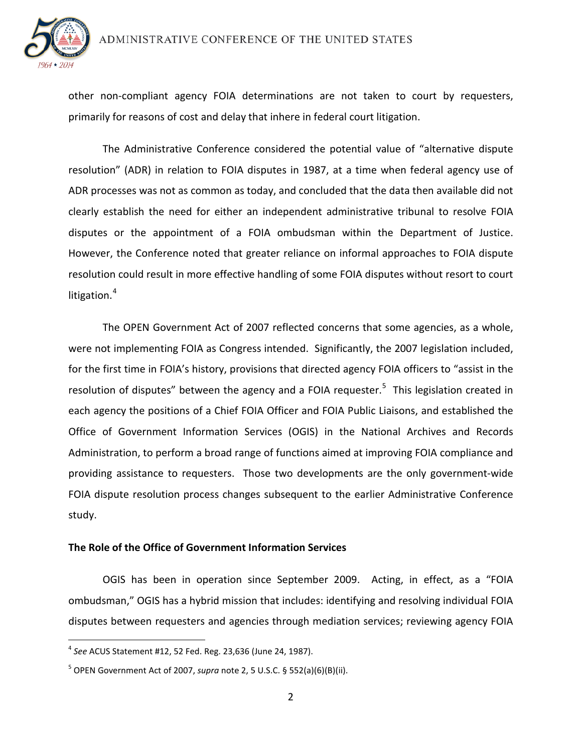

other non-compliant agency FOIA determinations are not taken to court by requesters, primarily for reasons of cost and delay that inhere in federal court litigation.

The Administrative Conference considered the potential value of "alternative dispute resolution" (ADR) in relation to FOIA disputes in 1987, at a time when federal agency use of ADR processes was not as common as today, and concluded that the data then available did not clearly establish the need for either an independent administrative tribunal to resolve FOIA disputes or the appointment of a FOIA ombudsman within the Department of Justice. However, the Conference noted that greater reliance on informal approaches to FOIA dispute resolution could result in more effective handling of some FOIA disputes without resort to court litigation. $4$ 

The OPEN Government Act of 2007 reflected concerns that some agencies, as a whole, were not implementing FOIA as Congress intended. Significantly, the 2007 legislation included, for the first time in FOIA's history, provisions that directed agency FOIA officers to "assist in the resolution of disputes" between the agency and a FOIA requester.<sup>[5](#page-1-1)</sup> This legislation created in each agency the positions of a Chief FOIA Officer and FOIA Public Liaisons, and established the Office of Government Information Services (OGIS) in the National Archives and Records Administration, to perform a broad range of functions aimed at improving FOIA compliance and providing assistance to requesters. Those two developments are the only government-wide FOIA dispute resolution process changes subsequent to the earlier Administrative Conference study.

### **The Role of the Office of Government Information Services**

OGIS has been in operation since September 2009. Acting, in effect, as a "FOIA ombudsman," OGIS has a hybrid mission that includes: identifying and resolving individual FOIA disputes between requesters and agencies through mediation services; reviewing agency FOIA

<span id="page-1-0"></span><sup>4</sup> *See* ACUS Statement #12, 52 Fed. Reg. 23,636 (June 24, 1987).

<span id="page-1-1"></span><sup>5</sup> OPEN Government Act of 2007, *supra* note 2, 5 U.S.C. § 552(a)(6)(B)(ii).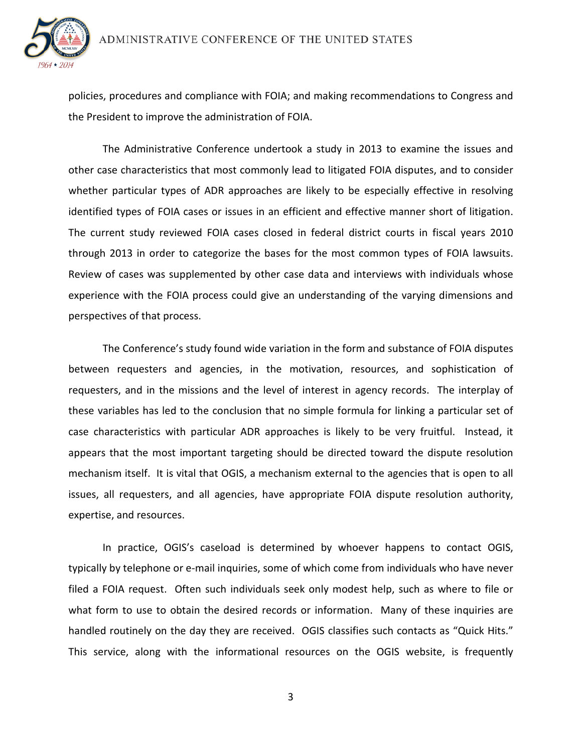

policies, procedures and compliance with FOIA; and making recommendations to Congress and the President to improve the administration of FOIA.

The Administrative Conference undertook a study in 2013 to examine the issues and other case characteristics that most commonly lead to litigated FOIA disputes, and to consider whether particular types of ADR approaches are likely to be especially effective in resolving identified types of FOIA cases or issues in an efficient and effective manner short of litigation. The current study reviewed FOIA cases closed in federal district courts in fiscal years 2010 through 2013 in order to categorize the bases for the most common types of FOIA lawsuits. Review of cases was supplemented by other case data and interviews with individuals whose experience with the FOIA process could give an understanding of the varying dimensions and perspectives of that process.

The Conference's study found wide variation in the form and substance of FOIA disputes between requesters and agencies, in the motivation, resources, and sophistication of requesters, and in the missions and the level of interest in agency records. The interplay of these variables has led to the conclusion that no simple formula for linking a particular set of case characteristics with particular ADR approaches is likely to be very fruitful. Instead, it appears that the most important targeting should be directed toward the dispute resolution mechanism itself. It is vital that OGIS, a mechanism external to the agencies that is open to all issues, all requesters, and all agencies, have appropriate FOIA dispute resolution authority, expertise, and resources.

In practice, OGIS's caseload is determined by whoever happens to contact OGIS, typically by telephone or e-mail inquiries, some of which come from individuals who have never filed a FOIA request. Often such individuals seek only modest help, such as where to file or what form to use to obtain the desired records or information. Many of these inquiries are handled routinely on the day they are received. OGIS classifies such contacts as "Quick Hits." This service, along with the informational resources on the OGIS website, is frequently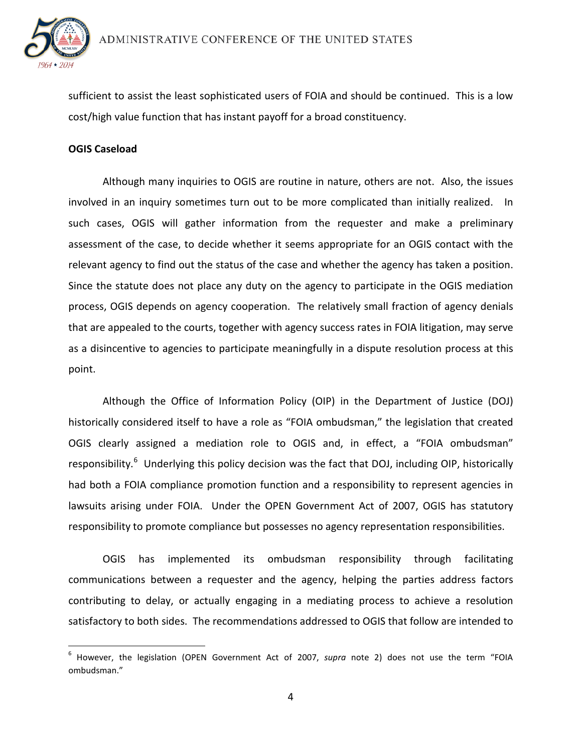

sufficient to assist the least sophisticated users of FOIA and should be continued. This is a low cost/high value function that has instant payoff for a broad constituency.

## **OGIS Caseload**

Although many inquiries to OGIS are routine in nature, others are not. Also, the issues involved in an inquiry sometimes turn out to be more complicated than initially realized. In such cases, OGIS will gather information from the requester and make a preliminary assessment of the case, to decide whether it seems appropriate for an OGIS contact with the relevant agency to find out the status of the case and whether the agency has taken a position. Since the statute does not place any duty on the agency to participate in the OGIS mediation process, OGIS depends on agency cooperation. The relatively small fraction of agency denials that are appealed to the courts, together with agency success rates in FOIA litigation, may serve as a disincentive to agencies to participate meaningfully in a dispute resolution process at this point.

Although the Office of Information Policy (OIP) in the Department of Justice (DOJ) historically considered itself to have a role as "FOIA ombudsman," the legislation that created OGIS clearly assigned a mediation role to OGIS and, in effect, a "FOIA ombudsman" responsibility.<sup>[6](#page-3-0)</sup> Underlying this policy decision was the fact that DOJ, including OIP, historically had both a FOIA compliance promotion function and a responsibility to represent agencies in lawsuits arising under FOIA. Under the OPEN Government Act of 2007, OGIS has statutory responsibility to promote compliance but possesses no agency representation responsibilities.

OGIS has implemented its ombudsman responsibility through facilitating communications between a requester and the agency, helping the parties address factors contributing to delay, or actually engaging in a mediating process to achieve a resolution satisfactory to both sides. The recommendations addressed to OGIS that follow are intended to

<span id="page-3-0"></span><sup>6</sup> However, the legislation (OPEN Government Act of 2007, *supra* note 2) does not use the term "FOIA ombudsman."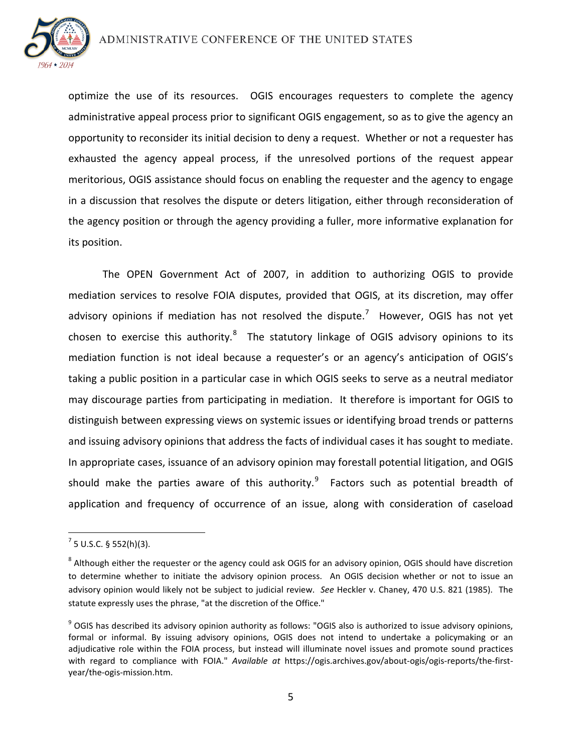

optimize the use of its resources. OGIS encourages requesters to complete the agency administrative appeal process prior to significant OGIS engagement, so as to give the agency an opportunity to reconsider its initial decision to deny a request. Whether or not a requester has exhausted the agency appeal process, if the unresolved portions of the request appear meritorious, OGIS assistance should focus on enabling the requester and the agency to engage in a discussion that resolves the dispute or deters litigation, either through reconsideration of the agency position or through the agency providing a fuller, more informative explanation for its position.

The OPEN Government Act of 2007, in addition to authorizing OGIS to provide mediation services to resolve FOIA disputes, provided that OGIS, at its discretion, may offer advisory opinions if mediation has not resolved the dispute.<sup>[7](#page-4-0)</sup> However, OGIS has not yet chosen to exercise this authority. $8$  The statutory linkage of OGIS advisory opinions to its mediation function is not ideal because a requester's or an agency's anticipation of OGIS's taking a public position in a particular case in which OGIS seeks to serve as a neutral mediator may discourage parties from participating in mediation. It therefore is important for OGIS to distinguish between expressing views on systemic issues or identifying broad trends or patterns and issuing advisory opinions that address the facts of individual cases it has sought to mediate. In appropriate cases, issuance of an advisory opinion may forestall potential litigation, and OGIS should make the parties aware of this authority. $9$  Factors such as potential breadth of application and frequency of occurrence of an issue, along with consideration of caseload

<span id="page-4-0"></span> $<sup>7</sup>$  5 U.S.C. § 552(h)(3).</sup>

<span id="page-4-1"></span><sup>&</sup>lt;sup>8</sup> Although either the requester or the agency could ask OGIS for an advisory opinion, OGIS should have discretion to determine whether to initiate the advisory opinion process. An OGIS decision whether or not to issue an advisory opinion would likely not be subject to judicial review. *See* Heckler v. Chaney, 470 U.S. 821 (1985). The statute expressly uses the phrase, "at the discretion of the Office."

<span id="page-4-2"></span><sup>&</sup>lt;sup>9</sup> OGIS has described its advisory opinion authority as follows: "OGIS also is authorized to issue advisory opinions, formal or informal. By issuing advisory opinions, OGIS does not intend to undertake a policymaking or an adjudicative role within the FOIA process, but instead will illuminate novel issues and promote sound practices with regard to compliance with FOIA." *Available at* https://ogis.archives.gov/about-ogis/ogis-reports/the-firstyear/the-ogis-mission.htm.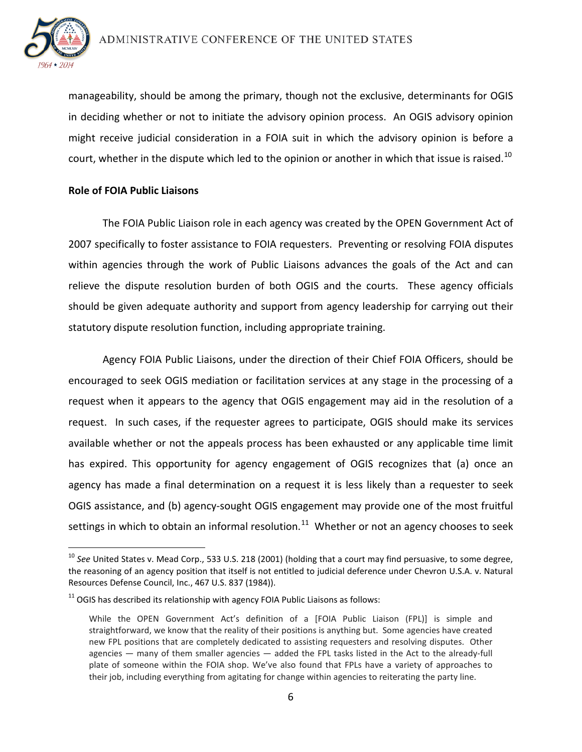

manageability, should be among the primary, though not the exclusive, determinants for OGIS in deciding whether or not to initiate the advisory opinion process. An OGIS advisory opinion might receive judicial consideration in a FOIA suit in which the advisory opinion is before a court, whether in the dispute which led to the opinion or another in which that issue is raised.<sup>[10](#page-5-0)</sup>

### **Role of FOIA Public Liaisons**

The FOIA Public Liaison role in each agency was created by the OPEN Government Act of 2007 specifically to foster assistance to FOIA requesters. Preventing or resolving FOIA disputes within agencies through the work of Public Liaisons advances the goals of the Act and can relieve the dispute resolution burden of both OGIS and the courts. These agency officials should be given adequate authority and support from agency leadership for carrying out their statutory dispute resolution function, including appropriate training.

Agency FOIA Public Liaisons, under the direction of their Chief FOIA Officers, should be encouraged to seek OGIS mediation or facilitation services at any stage in the processing of a request when it appears to the agency that OGIS engagement may aid in the resolution of a request. In such cases, if the requester agrees to participate, OGIS should make its services available whether or not the appeals process has been exhausted or any applicable time limit has expired. This opportunity for agency engagement of OGIS recognizes that (a) once an agency has made a final determination on a request it is less likely than a requester to seek OGIS assistance, and (b) agency-sought OGIS engagement may provide one of the most fruitful settings in which to obtain an informal resolution.<sup>[11](#page-5-1)</sup> Whether or not an agency chooses to seek

<span id="page-5-0"></span><sup>10</sup> *See* United States v. Mead Corp., 533 U.S. 218 (2001) (holding that a court may find persuasive, to some degree, the reasoning of an agency position that itself is not entitled to judicial deference under Chevron U.S.A. v. Natural Resources Defense Council, Inc., 467 U.S. 837 (1984)).

<span id="page-5-1"></span> $11$  OGIS has described its relationship with agency FOIA Public Liaisons as follows:

While the OPEN Government Act's definition of a [FOIA Public Liaison (FPL)] is simple and straightforward, we know that the reality of their positions is anything but. Some agencies have created new FPL positions that are completely dedicated to assisting requesters and resolving disputes. Other agencies — many of them smaller agencies — added the FPL tasks listed in the Act to the already-full plate of someone within the FOIA shop. We've also found that FPLs have a variety of approaches to their job, including everything from agitating for change within agencies to reiterating the party line.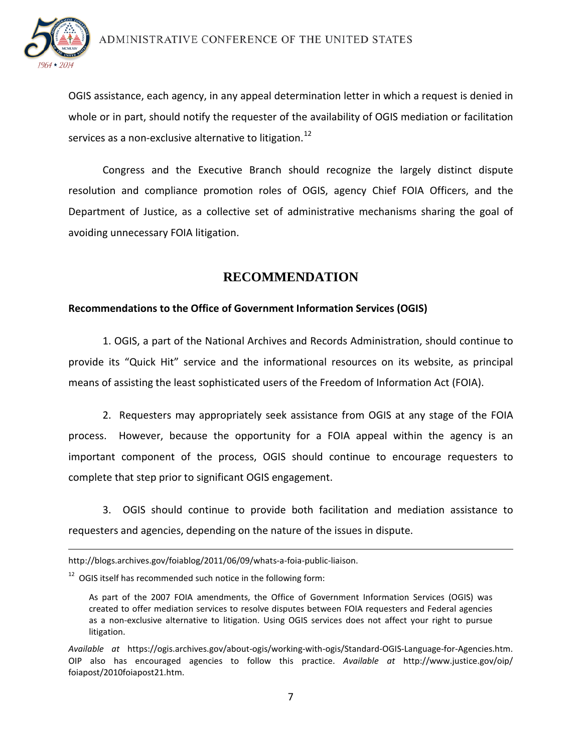

 $\overline{a}$ 

OGIS assistance, each agency, in any appeal determination letter in which a request is denied in whole or in part, should notify the requester of the availability of OGIS mediation or facilitation services as a non-exclusive alternative to litigation.<sup>[12](#page-6-0)</sup>

Congress and the Executive Branch should recognize the largely distinct dispute resolution and compliance promotion roles of OGIS, agency Chief FOIA Officers, and the Department of Justice, as a collective set of administrative mechanisms sharing the goal of avoiding unnecessary FOIA litigation.

## **RECOMMENDATION**

## **Recommendations to the Office of Government Information Services (OGIS)**

1. OGIS, a part of the National Archives and Records Administration, should continue to provide its "Quick Hit" service and the informational resources on its website, as principal means of assisting the least sophisticated users of the Freedom of Information Act (FOIA).

2. Requesters may appropriately seek assistance from OGIS at any stage of the FOIA process. However, because the opportunity for a FOIA appeal within the agency is an important component of the process, OGIS should continue to encourage requesters to complete that step prior to significant OGIS engagement.

3. OGIS should continue to provide both facilitation and mediation assistance to requesters and agencies, depending on the nature of the issues in dispute.

http://blogs.archives.gov/foiablog/2011/06/09/whats-a-foia-public-liaison.

<span id="page-6-0"></span> $12$  OGIS itself has recommended such notice in the following form:

As part of the 2007 FOIA amendments, the Office of Government Information Services (OGIS) was created to offer mediation services to resolve disputes between FOIA requesters and Federal agencies as a non-exclusive alternative to litigation. Using OGIS services does not affect your right to pursue litigation.

*Available at* https://ogis.archives.gov/about-ogis/working-with-ogis/Standard-OGIS-Language-for-Agencies.htm. OIP also has encouraged agencies to follow this practice. *Available at* http://www.justice.gov/oip/ foiapost/2010foiapost21.htm.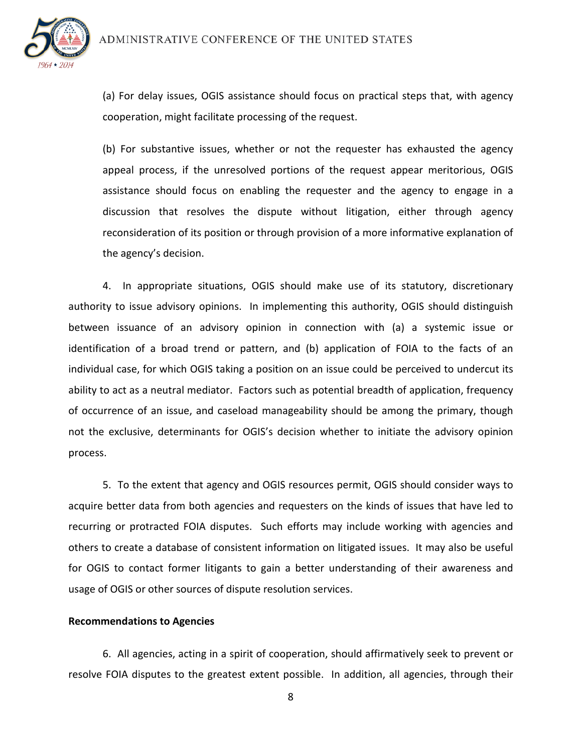

(a) For delay issues, OGIS assistance should focus on practical steps that, with agency cooperation, might facilitate processing of the request.

(b) For substantive issues, whether or not the requester has exhausted the agency appeal process, if the unresolved portions of the request appear meritorious, OGIS assistance should focus on enabling the requester and the agency to engage in a discussion that resolves the dispute without litigation, either through agency reconsideration of its position or through provision of a more informative explanation of the agency's decision.

4. In appropriate situations, OGIS should make use of its statutory, discretionary authority to issue advisory opinions. In implementing this authority, OGIS should distinguish between issuance of an advisory opinion in connection with (a) a systemic issue or identification of a broad trend or pattern, and (b) application of FOIA to the facts of an individual case, for which OGIS taking a position on an issue could be perceived to undercut its ability to act as a neutral mediator. Factors such as potential breadth of application, frequency of occurrence of an issue, and caseload manageability should be among the primary, though not the exclusive, determinants for OGIS's decision whether to initiate the advisory opinion process.

5. To the extent that agency and OGIS resources permit, OGIS should consider ways to acquire better data from both agencies and requesters on the kinds of issues that have led to recurring or protracted FOIA disputes. Such efforts may include working with agencies and others to create a database of consistent information on litigated issues. It may also be useful for OGIS to contact former litigants to gain a better understanding of their awareness and usage of OGIS or other sources of dispute resolution services.

### **Recommendations to Agencies**

6. All agencies, acting in a spirit of cooperation, should affirmatively seek to prevent or resolve FOIA disputes to the greatest extent possible. In addition, all agencies, through their